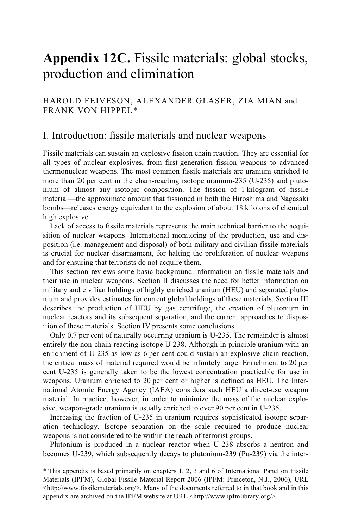# **Appendix 12C.** Fissile materials: global stocks, production and elimination

### HAROLD FEIVESON, ALEXANDER GLASER, ZIA MIAN and FRANK VON HIPPEL*\**

## I. Introduction: fissile materials and nuclear weapons

Fissile materials can sustain an explosive fission chain reaction. They are essential for all types of nuclear explosives, from first-generation fission weapons to advanced thermonuclear weapons. The most common fissile materials are uranium enriched to more than 20 per cent in the chain-reacting isotope uranium-235 (U-235) and plutonium of almost any isotopic composition. The fission of 1 kilogram of fissile material—the approximate amount that fissioned in both the Hiroshima and Nagasaki bombs—releases energy equivalent to the explosion of about 18 kilotons of chemical high explosive.

Lack of access to fissile materials represents the main technical barrier to the acquisition of nuclear weapons. International monitoring of the production, use and disposition (i.e. management and disposal) of both military and civilian fissile materials is crucial for nuclear disarmament, for halting the proliferation of nuclear weapons and for ensuring that terrorists do not acquire them.

This section reviews some basic background information on fissile materials and their use in nuclear weapons. Section II discusses the need for better information on military and civilian holdings of highly enriched uranium (HEU) and separated plutonium and provides estimates for current global holdings of these materials. Section III describes the production of HEU by gas centrifuge, the creation of plutonium in nuclear reactors and its subsequent separation, and the current approaches to disposition of these materials. Section IV presents some conclusions.

Only 0.7 per cent of naturally occurring uranium is U-235. The remainder is almost entirely the non-chain-reacting isotope U-238. Although in principle uranium with an enrichment of U-235 as low as 6 per cent could sustain an explosive chain reaction, the critical mass of material required would be infinitely large. Enrichment to 20 per cent U-235 is generally taken to be the lowest concentration practicable for use in weapons. Uranium enriched to 20 per cent or higher is defined as HEU. The International Atomic Energy Agency (IAEA) considers such HEU a direct-use weapon material. In practice, however, in order to minimize the mass of the nuclear explosive, weapon-grade uranium is usually enriched to over 90 per cent in U-235.

Increasing the fraction of U-235 in uranium requires sophisticated isotope separation technology. Isotope separation on the scale required to produce nuclear weapons is not considered to be within the reach of terrorist groups.

Plutonium is produced in a nuclear reactor when U-238 absorbs a neutron and becomes U-239, which subsequently decays to plutonium-239 (Pu-239) via the inter-

<sup>\*</sup> This appendix is based primarily on chapters 1, 2, 3 and 6 of International Panel on Fissile Materials (IPFM), Global Fissile Material Report 2006 (IPFM: Princeton, N.J., 2006), URL  $\text{th}(x)$  -station-station-station-station-station-station-station-station-station-station-station-station-station-station-station-station-station-station-station-station-station-station-station-station-station-station-st appendix are archived on the IPFM website at URL <http://www.ipfmlibrary.org/>.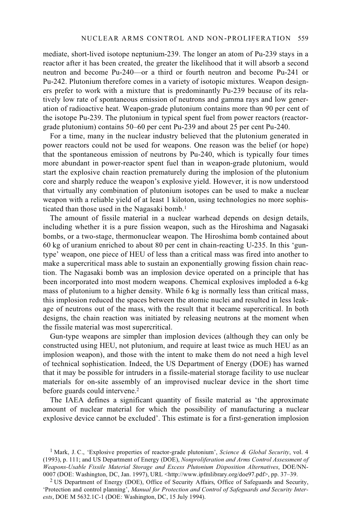mediate, short-lived isotope neptunium-239. The longer an atom of Pu-239 stays in a reactor after it has been created, the greater the likelihood that it will absorb a second neutron and become Pu-240—or a third or fourth neutron and become Pu-241 or Pu-242. Plutonium therefore comes in a variety of isotopic mixtures. Weapon designers prefer to work with a mixture that is predominantly Pu-239 because of its relatively low rate of spontaneous emission of neutrons and gamma rays and low generation of radioactive heat. Weapon-grade plutonium contains more than 90 per cent of the isotope Pu-239. The plutonium in typical spent fuel from power reactors (reactorgrade plutonium) contains 50–60 per cent Pu-239 and about 25 per cent Pu-240.

For a time, many in the nuclear industry believed that the plutonium generated in power reactors could not be used for weapons. One reason was the belief (or hope) that the spontaneous emission of neutrons by Pu-240, which is typically four times more abundant in power-reactor spent fuel than in weapon-grade plutonium, would start the explosive chain reaction prematurely during the implosion of the plutonium core and sharply reduce the weapon's explosive yield. However, it is now understood that virtually any combination of plutonium isotopes can be used to make a nuclear weapon with a reliable yield of at least 1 kiloton, using technologies no more sophisticated than those used in the Nagasaki bomb.<sup>1</sup>

The amount of fissile material in a nuclear warhead depends on design details, including whether it is a pure fission weapon, such as the Hiroshima and Nagasaki bombs, or a two-stage, thermonuclear weapon. The Hiroshima bomb contained about 60 kg of uranium enriched to about 80 per cent in chain-reacting U-235. In this 'guntype' weapon, one piece of HEU of less than a critical mass was fired into another to make a supercritical mass able to sustain an exponentially growing fission chain reaction. The Nagasaki bomb was an implosion device operated on a principle that has been incorporated into most modern weapons. Chemical explosives imploded a 6-kg mass of plutonium to a higher density. While 6 kg is normally less than critical mass, this implosion reduced the spaces between the atomic nuclei and resulted in less leakage of neutrons out of the mass, with the result that it became supercritical. In both designs, the chain reaction was initiated by releasing neutrons at the moment when the fissile material was most supercritical.

Gun-type weapons are simpler than implosion devices (although they can only be constructed using HEU, not plutonium, and require at least twice as much HEU as an implosion weapon), and those with the intent to make them do not need a high level of technical sophistication. Indeed, the US Department of Energy (DOE) has warned that it may be possible for intruders in a fissile-material storage facility to use nuclear materials for on-site assembly of an improvised nuclear device in the short time before guards could intervene.2

The IAEA defines a significant quantity of fissile material as 'the approximate amount of nuclear material for which the possibility of manufacturing a nuclear explosive device cannot be excluded'. This estimate is for a first-generation implosion

<sup>1</sup> Mark, J. C., 'Explosive properties of reactor-grade plutonium', *Science & Global Security*, vol. 4 (1993), p. 111; and US Department of Energy (DOE), *Nonproliferation and Arms Control Assessment of Weapons-Usable Fissile Material Storage and Excess Plutonium Disposition Alternatives*, DOE/NN-0007 (DOE: Washington, DC, Jan. 1997), URL <http://www.ipfmlibrary.org/doe97.pdf>, pp. 37–39.

<sup>&</sup>lt;sup>2</sup> US Department of Energy (DOE), Office of Security Affairs, Office of Safeguards and Security, 'Protection and control planning', *Manual for Protection and Control of Safeguards and Security Interests*, DOE M 5632.1C-1 (DOE: Washington, DC, 15 July 1994).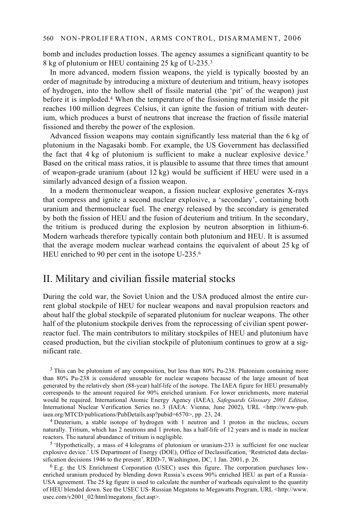bomb and includes production losses. The agency assumes a significant quantity to be 8 kg of plutonium or HEU containing 25 kg of U-235.3

In more advanced, modern fission weapons, the yield is typically boosted by an order of magnitude by introducing a mixture of deuterium and tritium, heavy isotopes of hydrogen, into the hollow shell of fissile material (the 'pit' of the weapon) just before it is imploded.4 When the temperature of the fissioning material inside the pit reaches 100 million degrees Celsius, it can ignite the fusion of tritium with deuterium, which produces a burst of neutrons that increase the fraction of fissile material fissioned and thereby the power of the explosion.

Advanced fission weapons may contain significantly less material than the 6 kg of plutonium in the Nagasaki bomb. For example, the US Government has declassified the fact that  $4 \text{ kg}$  of plutonium is sufficient to make a nuclear explosive device.<sup>5</sup> Based on the critical mass ratios, it is plausible to assume that three times that amount of weapon-grade uranium (about 12 kg) would be sufficient if HEU were used in a similarly advanced design of a fission weapon.

In a modern thermonuclear weapon, a fission nuclear explosive generates X-rays that compress and ignite a second nuclear explosive, a 'secondary', containing both uranium and thermonuclear fuel. The energy released by the secondary is generated by both the fission of HEU and the fusion of deuterium and tritium. In the secondary, the tritium is produced during the explosion by neutron absorption in lithium-6. Modern warheads therefore typically contain both plutonium and HEU. It is assumed that the average modern nuclear warhead contains the equivalent of about 25 kg of HEU enriched to 90 per cent in the isotope U-235.<sup>6</sup>

### II. Military and civilian fissile material stocks

During the cold war, the Soviet Union and the USA produced almost the entire current global stockpile of HEU for nuclear weapons and naval propulsion reactors and about half the global stockpile of separated plutonium for nuclear weapons. The other half of the plutonium stockpile derives from the reprocessing of civilian spent powerreactor fuel. The main contributors to military stockpiles of HEU and plutonium have ceased production, but the civilian stockpile of plutonium continues to grow at a significant rate.

<sup>3</sup> This can be plutonium of any composition, but less than 80% Pu-238. Plutonium containing more than 80% Pu-238 is considered unusable for nuclear weapons because of the large amount of heat generated by the relatively short (88-year) half-life of the isotope. The IAEA figure for HEU presumably corresponds to the amount required for 90% enriched uranium. For lower enrichments, more material would be required. International Atomic Energy Agency (IAEA), *Safeguards Glossary 2001 Edition*, International Nuclear Verification Series no. 3 (IAEA: Vienna, June 2002), URL <http://www-pub. iaea.org/MTCD/publications/PubDetails.asp?pubid=6570>, pp. 23, 24. 4 Deuterium, a stable isotope of hydrogen with 1 neutron and 1 proton in the nucleus, occurs

naturally. Tritium, which has 2 neutrons and 1 proton, has a half-life of 12 years and is made in nuclear reactors. The natural abundance of tritium is negligible.

 $5$  'Hypothetically, a mass of 4 kilograms of plutonium or uranium-233 is sufficient for one nuclear explosive device.' US Department of Energy (DOE), Office of Declassification, 'Restricted data declassification decisions 1946 to the present', RDD-7, Washington, DC, 1 Jan. 2001, p. 26.

 $6E.g.$  the US Enrichment Corporation (USEC) uses this figure. The corporation purchases lowenriched uranium produced by blending down Russia's excess 90% enriched HEU as part of a Russia– USA agreement. The 25 kg figure is used to calculate the number of warheads equivalent to the quantity of HEU blended down. See the USEC US–Russian Megatons to Megawatts Program, URL <http://www. usec.com/v2001\_02/html/megatons\_fact.asp>.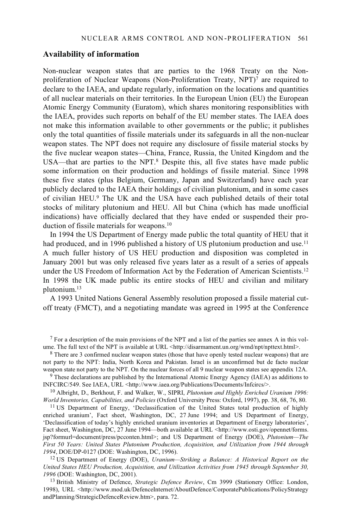#### **Availability of information**

Non-nuclear weapon states that are parties to the 1968 Treaty on the Nonproliferation of Nuclear Weapons (Non-Proliferation Treaty, NPT)7 are required to declare to the IAEA, and update regularly, information on the locations and quantities of all nuclear materials on their territories. In the European Union (EU) the European Atomic Energy Community (Euratom), which shares monitoring responsiblities with the IAEA, provides such reports on behalf of the EU member states. The IAEA does not make this information available to other governments or the public; it publishes only the total quantities of fissile materials under its safeguards in all the non-nuclear weapon states. The NPT does not require any disclosure of fissile material stocks by the five nuclear weapon states—China, France, Russia, the United Kingdom and the USA—that are parties to the NPT.<sup>8</sup> Despite this, all five states have made public some information on their production and holdings of fissile material. Since 1998 these five states (plus Belgium, Germany, Japan and Switzerland) have each year publicly declared to the IAEA their holdings of civilian plutonium, and in some cases of civilian HEU.9 The UK and the USA have each published details of their total stocks of military plutonium and HEU. All but China (which has made unofficial indications) have officially declared that they have ended or suspended their production of fissile materials for weapons.10

In 1994 the US Department of Energy made public the total quantity of HEU that it had produced, and in 1996 published a history of US plutonium production and use.<sup>11</sup> A much fuller history of US HEU production and disposition was completed in January 2001 but was only released five years later as a result of a series of appeals under the US Freedom of Information Act by the Federation of American Scientists.12 In 1998 the UK made public its entire stocks of HEU and civilian and military plutonium.13

A 1993 United Nations General Assembly resolution proposed a fissile material cutoff treaty (FMCT), and a negotiating mandate was agreed in 1995 at the Conference

<sup>11</sup> US Department of Energy, 'Declassification of the United States total production of highly enriched uranium', Fact sheet, Washington, DC, 27 June 1994; and US Department of Energy, 'Declassification of today's highly enriched uranium inventories at Department of Energy laboratories', Fact sheet, Washington, DC, 27 June 1994—both available at URL <http://www.osti.gov/opennet/forms. jsp?formurl=document/press/pcconten.html>; and US Department of Energy (DOE), *Plutonium—The First 50 Years: United States Plutonium Production, Acquisition, and Utilization from 1944 through <sup>1994</sup>*, DOE/DP-0127 (DOE: Washington, DC, 1996). 12 US Department of Energy (DOE), *Uranium—Striking a Balance: A Historical Report on the* 

*United States HEU Production, Acquisition, and Utilization Activities from 1945 through September 30, 1996* (DOE: Washington, DC, 2001).

<sup>13</sup> British Ministry of Defence, *Strategic Defence Review*, Cm 3999 (Stationery Office: London, 1998), URL <http://www.mod.uk/DefenceInternet/AboutDefence/CorporatePublications/PolicyStrategy andPlanning/StrategicDefenceReview.htm>, para. 72.

<sup>&</sup>lt;sup>7</sup> For a description of the main provisions of the NPT and a list of the parties see annex A in this volume. The full text of the NPT is available at URL  $\lt$ http://disarmament.un.org/wmd/npt/npttext.html>.

<sup>&</sup>lt;sup>8</sup> There are 3 confirmed nuclear weapon states (those that have openly tested nuclear weapons) that are not party to the NPT: India, North Korea and Pakistan. Israel is an unconfirmed but de facto nuclear

weapon state not party to the NPT. On the nuclear forces of all 9 nuclear weapon states see appendix 12A.<br><sup>9</sup> These declarations are published by the International Atomic Energy Agency (IAEA) as additions to INFCIRC/549. S

<sup>&</sup>lt;sup>10</sup> Albright, D., Berkhout, F. and Walker, W., SIPRI, *Plutonium and Highly Enriched Uranium 1996: World Inventories, Capabilities, and Policies (Oxford University Press: Oxford, 1997), pp. 38, 68, 76, 80.*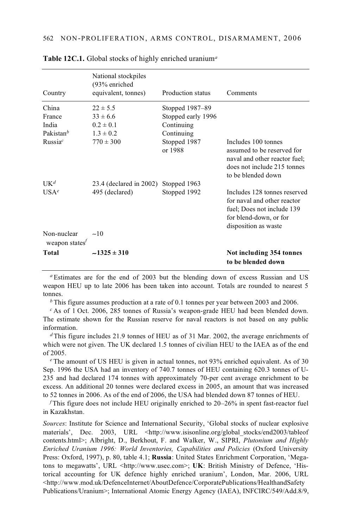| Country                       | National stockpiles<br>(93% enriched<br>equivalent, tonnes) | Production status       | Comments                                                                                                                                    |
|-------------------------------|-------------------------------------------------------------|-------------------------|---------------------------------------------------------------------------------------------------------------------------------------------|
| China                         | $22 \pm 5.5$                                                | Stopped 1987–89         |                                                                                                                                             |
| France                        | $33 \pm 6.6$                                                | Stopped early 1996      |                                                                                                                                             |
| India                         | $0.2 \pm 0.1$                                               | Continuing              |                                                                                                                                             |
| Pakistan $b$                  | $1.3 \pm 0.2$                                               | Continuing              |                                                                                                                                             |
| Russia <sup>c</sup>           | $770 \pm 300$                                               | Stopped 1987<br>or 1988 | Includes 100 tonnes<br>assumed to be reserved for<br>naval and other reactor fuel;<br>does not include 215 tonnes<br>to be blended down     |
| $I K^d$                       | 23.4 (declared in 2002)                                     | Stopped 1963            |                                                                                                                                             |
| IISAe                         | 495 (declared)                                              | Stopped 1992            | Includes 128 tonnes reserved<br>for naval and other reactor<br>fuel; Does not include 139<br>for blend-down, or for<br>disposition as waste |
| Non-nuclear<br>weapon states' | $-10$                                                       |                         |                                                                                                                                             |
| <b>Total</b>                  | $-1325 \pm 310$                                             |                         | Not including 354 tonnes<br>to be blended down                                                                                              |

**Table 12C.1.** Global stocks of highly enriched uranium*<sup>a</sup>*

*<sup>a</sup>* Estimates are for the end of 2003 but the blending down of excess Russian and US weapon HEU up to late 2006 has been taken into account. Totals are rounded to nearest 5 tonnes.

*b* This figure assumes production at a rate of 0.1 tonnes per year between 2003 and 2006.

*<sup>c</sup>* As of 1 Oct. 2006, 285 tonnes of Russia's weapon-grade HEU had been blended down. The estimate shown for the Russian reserve for naval reactors is not based on any public information.

*<sup>d</sup>* This figure includes 21.9 tonnes of HEU as of 31 Mar. 2002, the average enrichments of which were not given. The UK declared 1.5 tonnes of civilian HEU to the IAEA as of the end of 2005.

*<sup>e</sup>* The amount of US HEU is given in actual tonnes, not 93% enriched equivalent. As of 30 Sep. 1996 the USA had an inventory of 740.7 tonnes of HEU containing 620.3 tonnes of U-235 and had declared 174 tonnes with approximately 70-per cent average enrichment to be excess. An additional 20 tonnes were declared excess in 2005, an amount that was increased to 52 tonnes in 2006. As of the end of 2006, the USA had blended down 87 tonnes of HEU.

*<sup>f</sup>* This figure does not include HEU originally enriched to 20–26% in spent fast-reactor fuel in Kazakhstan.

*Sources*: Institute for Science and International Security, 'Global stocks of nuclear explosive materials', Dec. 2003, URL <http://www.isisonline.org/global stocks/end2003/tableof contents.html>; Albright, D., Berkhout, F. and Walker, W., SIPRI, *Plutonium and Highly Enriched Uranium 1996: World Inventories, Capabilities and Policies* (Oxford University Press: Oxford, 1997), p. 80, table 4.1; **Russia**: United States Enrichment Corporation, 'Megatons to megawatts', URL <http://www.usec.com>; **UK**: British Ministry of Defence, 'Historical accounting for UK defence highly enriched uranium', London, Mar. 2006, URL <http://www.mod.uk/DefenceInternet/AboutDefence/CorporatePublications/HealthandSafety Publications/Uranium>; International Atomic Energy Agency (IAEA), INFCIRC/549/Add.8/9,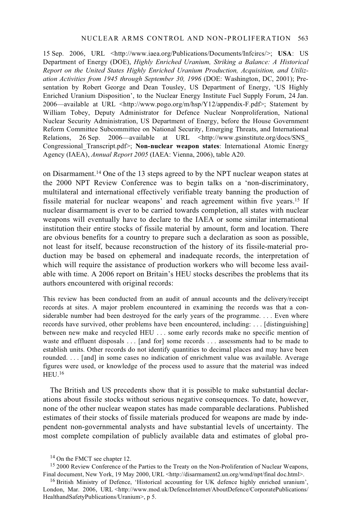#### NUCLEAR ARMS CONTROL AND NON-PROLIFERATION 563

15 Sep. 2006, URL <http://www.iaea.org/Publications/Documents/Infcircs/>; **USA**: US Department of Energy (DOE), *Highly Enriched Uranium, Striking a Balance: A Historical Report on the United States Highly Enriched Uranium Production, Acquisition, and Utilization Activities from 1945 through September 30, 1996* (DOE: Washington, DC, 2001); Presentation by Robert George and Dean Tousley, US Department of Energy, 'US Highly Enriched Uranium Disposition', to the Nuclear Energy Institute Fuel Supply Forum, 24 Jan. 2006—available at URL <http://www.pogo.org/m/hsp/Y12/appendix-F.pdf>; Statement by William Tobey, Deputy Administrator for Defence Nuclear Nonproliferation, National Nuclear Security Administration, US Department of Energy, before the House Government Reform Committee Subcommittee on National Security, Emerging Threats, and International Relations, 26 Sep. 2006—available at URL <http://www.gsinstitute.org/docs/SNS\_ Congressional\_Transcript.pdf>; **Non-nuclear weapon states**: International Atomic Energy Agency (IAEA), *Annual Report 2005* (IAEA: Vienna, 2006), table A20.

on Disarmament.14 One of the 13 steps agreed to by the NPT nuclear weapon states at the 2000 NPT Review Conference was to begin talks on a 'non-discriminatory, multilateral and international effectively verifiable treaty banning the production of fissile material for nuclear weapons' and reach agreement within five years.15 If nuclear disarmament is ever to be carried towards completion, all states with nuclear weapons will eventually have to declare to the IAEA or some similar international institution their entire stocks of fissile material by amount, form and location. There are obvious benefits for a country to prepare such a declaration as soon as possible, not least for itself, because reconstruction of the history of its fissile-material production may be based on ephemeral and inadequate records, the interpretation of which will require the assistance of production workers who will become less available with time. A 2006 report on Britain's HEU stocks describes the problems that its authors encountered with original records:

This review has been conducted from an audit of annual accounts and the delivery/receipt records at sites. A major problem encountered in examining the records was that a considerable number had been destroyed for the early years of the programme. . . . Even where records have survived, other problems have been encountered, including: . . . [distinguishing] between new make and recycled HEU . . . some early records make no specific mention of waste and effluent disposals . . . [and for] some records . . . assessments had to be made to establish units. Other records do not identify quantities to decimal places and may have been rounded. . . . [and] in some cases no indication of enrichment value was available. Average figures were used, or knowledge of the process used to assure that the material was indeed HEU.16

The British and US precedents show that it is possible to make substantial declarations about fissile stocks without serious negative consequences. To date, however, none of the other nuclear weapon states has made comparable declarations. Published estimates of their stocks of fissile materials produced for weapons are made by independent non-governmental analysts and have substantial levels of uncertainty. The most complete compilation of publicly available data and estimates of global pro-

<sup>&</sup>lt;sup>14</sup> On the FMCT see chapter 12.

<sup>&</sup>lt;sup>15</sup> 2000 Review Conference of the Parties to the Treaty on the Non-Proliferation of Nuclear Weapons, Final document, New York, 19 May 2000, URL <http://disarmament2.un.org/wmd/npt/final doc.html>.

<sup>&</sup>lt;sup>16</sup> British Ministry of Defence, 'Historical accounting for UK defence highly enriched uranium', London, Mar. 2006, URL <http://www.mod.uk/DefenceInternet/AboutDefence/CorporatePublications/ HealthandSafetyPublications/Uranium>, p 5.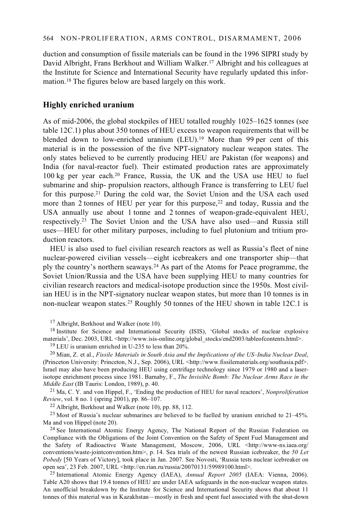duction and consumption of fissile materials can be found in the 1996 SIPRI study by David Albright, Frans Berkhout and William Walker.<sup>17</sup> Albright and his colleagues at the Institute for Science and International Security have regularly updated this information.18 The figures below are based largely on this work.

#### **Highly enriched uranium**

As of mid-2006, the global stockpiles of HEU totalled roughly 1025–1625 tonnes (see table 12C.1) plus about 350 tonnes of HEU excess to weapon requirements that will be blended down to low-enriched uranium (LEU).<sup>19</sup> More than 99 per cent of this material is in the possession of the five NPT-signatory nuclear weapon states. The only states believed to be currently producing HEU are Pakistan (for weapons) and India (for naval-reactor fuel). Their estimated production rates are approximately 100 kg per year each.20 France, Russia, the UK and the USA use HEU to fuel submarine and ship- propulsion reactors, although France is transferring to LEU fuel for this purpose.21 During the cold war, the Soviet Union and the USA each used more than 2 tonnes of HEU per year for this purpose,<sup>22</sup> and today, Russia and the USA annually use about 1 tonne and 2 tonnes of weapon-grade-equivalent HEU, respectively.23 The Soviet Union and the USA have also used—and Russia still uses—HEU for other military purposes, including to fuel plutonium and tritium production reactors.

HEU is also used to fuel civilian research reactors as well as Russia's fleet of nine nuclear-powered civilian vessels—eight icebreakers and one transporter ship—that ply the country's northern seaways.24 As part of the Atoms for Peace programme, the Soviet Union/Russia and the USA have been supplying HEU to many countries for civilian research reactors and medical-isotope production since the 1950s. Most civilian HEU is in the NPT-signatory nuclear weapon states, but more than 10 tonnes is in non-nuclear weapon states.25 Roughly 50 tonnes of the HEU shown in table 12C.1 is

<sup>17</sup> Albright, Berkhout and Walker (note 10).

<sup>18</sup> Institute for Science and International Security (ISIS), 'Global stocks of nuclear explosive materials', Dec. 2003, URL <http://www.isis-online.org/global\_stocks/end2003/tableofcontents.html>. 19 LEU is uranium enriched in U-235 to less than 20%.

20 Mian, Z. et al., *Fissile Materials in South Asia and the Implications of the US–India Nuclear Deal*, (Princeton University: Princeton, N.J., Sep. 2006), URL <http://www.fissilematerials.org/southasia.pdf>. Israel may also have been producing HEU using centrifuge technology since 1979 or 1980 and a laserisotope enrichment process since 1981. Barnaby, F., *The Invisible Bomb: The Nuclear Arms Race in the* 

*Middle East* (IB Tauris: London, 1989), p. 40.<br><sup>21</sup> Ma, C. Y. and von Hippel, F., 'Ending the production of HEU for naval reactors', *Nonproliferation Review*, vol. 8 no. 1 (spring 2001), pp. 86–107.

<sup>22</sup> Albright, Berkhout and Walker (note 10), pp. 88, 112.

<sup>23</sup> Most of Russia's nuclear submarines are believed to be fuelled by uranium enriched to  $21-45\%$ .<br>Ma and von Hippel (note 20).

<sup>24</sup> See International Atomic Energy Agency, The National Report of the Russian Federation on Compliance with the Obligations of the Joint Convention on the Safety of Spent Fuel Management and the Safety of Radioactive Waste Management, Moscow, 2006, URL <http://www-ns.iaea.org/ conventions/waste-jointconvention.htm>, p. 14. Sea trials of the newest Russian icebreaker, the *50 Let Pobedy* [50 Years of Victory], took place in Jan. 2007. See Novosti, 'Russia tests nuclear icebreaker on open sea', 23 Feb. 2007, URL <http://en.rian.ru/russia/20070131/59989100.html>. 25 International Atomic Energy Agency (IAEA), *Annual Report 2005* (IAEA: Vienna, 2006).

Table A20 shows that 19.4 tonnes of HEU are under IAEA safeguards in the non-nuclear weapon states. An unofficial breakdown by the Institute for Science and International Security shows that about 11 tonnes of this material was in Kazakhstan—mostly in fresh and spent fuel associated with the shut-down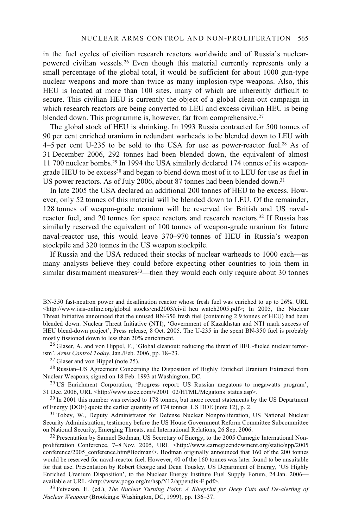in the fuel cycles of civilian research reactors worldwide and of Russia's nuclearpowered civilian vessels.26 Even though this material currently represents only a small percentage of the global total, it would be sufficient for about 1000 gun-type nuclear weapons and more than twice as many implosion-type weapons. Also, this HEU is located at more than 100 sites, many of which are inherently difficult to secure. This civilian HEU is currently the object of a global clean-out campaign in which research reactors are being converted to LEU and excess civilian HEU is being blended down. This programme is, however, far from comprehensive. $27$ 

The global stock of HEU is shrinking. In 1993 Russia contracted for 500 tonnes of 90 per cent enriched uranium in redundant warheads to be blended down to LEU with 4–5 per cent U-235 to be sold to the USA for use as power-reactor fuel.28 As of 31 December 2006, 292 tonnes had been blended down, the equivalent of almost 11 700 nuclear bombs.29 In 1994 the USA similarly declared 174 tonnes of its weapongrade HEU to be excess<sup>30</sup> and began to blend down most of it to LEU for use as fuel in US power reactors. As of July 2006, about 87 tonnes had been blended down.<sup>31</sup>

In late 2005 the USA declared an additional 200 tonnes of HEU to be excess. However, only 52 tonnes of this material will be blended down to LEU. Of the remainder, 128 tonnes of weapon-grade uranium will be reserved for British and US navalreactor fuel, and 20 tonnes for space reactors and research reactors.32 If Russia has similarly reserved the equivalent of 100 tonnes of weapon-grade uranium for future naval-reactor use, this would leave 370–970 tonnes of HEU in Russia's weapon stockpile and 320 tonnes in the US weapon stockpile.

If Russia and the USA reduced their stocks of nuclear warheads to 1000 each—as many analysts believe they could before expecting other countries to join them in similar disarmament measures<sup>33</sup>—then they would each only require about 30 tonnes

BN-350 fast-neutron power and desalination reactor whose fresh fuel was enriched to up to 26%. URL  $\text{Khttp://www.isis-online.org/global stocks/end2003/civil}$  heu watch2005.pdf>; In 2005, the Nuclear Threat Initiative announced that the unused BN-350 fresh fuel (containing 2.9 tonnes of HEU) had been blended down. Nuclear Threat Initiative (NTI), 'Government of Kazakhstan and NTI mark success of HEU blend-down project', Press release, 8 Oct. 2005. The U-235 in the spent BN-350 fuel is probably mostly fissioned down to less than 20% enrichment.

 $^{26}$  Glaser, A. and von Hippel, F., 'Global cleanout: reducing the threat of HEU-fueled nuclear terrorism', *Arms Control Today*, Jan./Feb. 2006, pp. 18–23. 27 Glaser and von Hippel (note 25).

 $^{28}$  Russian–US Agreement Concerning the Disposition of Highly Enriched Uranium Extracted from Nuclear Weapons, signed on 18 Feb. 1993 at Washington, DC.

<sup>29</sup> US Enrichment Corporation, 'Progress report: US–Russian megatons to megawatts program', 31 Dec. 2006, URL <http://www.usec.com/v2001 02/HTML/Megatons status.asp>.

 $30$  In 2001 this number was revised to 178 tonnes, but more recent statements by the US Department of Energy (DOE) quote the earlier quantity of 174 tonnes. US DOE (note 12), p. 2.

<sup>31</sup> Tobey, W., Deputy Administrator for Defense Nuclear Nonproliferation, US National Nuclear Security Administration, testimony before the US House Government Reform Committee Subcommittee on National Security, Emerging Threats, and International Relations, 26 Sep. 2006.<br><sup>32</sup> Presentation by Samuel Bodman, US Secretary of Energy, to the 2005 Carnegie International Non-

proliferation Conference, 7–8 Nov. 2005, URL <http://www.carnegieendowment.org/static/npp/2005 conference/2005\_conference.htm#Bodman/>. Bodman originally announced that 160 of the 200 tonnes would be reserved for naval-reactor fuel. However, 40 of the 160 tonnes was later found to be unsuitable for that use. Presentation by Robert George and Dean Tousley, US Department of Energy, 'US Highly Enriched Uranium Disposition', to the Nuclear Energy Institute Fuel Supply Forum, 24 Jan. 2006—<br>available at URL <http://www.pogo.org/m/hsp/Y12/appendix-F.pdf>.

33 Feiveson, H. (ed.), *The Nuclear Turning Point: A Blueprint for Deep Cuts and De-alerting of Nuclear Weapons* (Brookings: Washington, DC, 1999), pp. 136–37.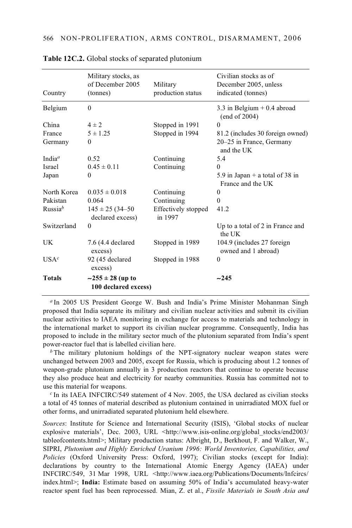| Country                         | Military stocks, as<br>of December 2005<br>(tonnes) | Military<br>production status  | Civilian stocks as of<br>December 2005, unless<br>indicated (tonnes) |
|---------------------------------|-----------------------------------------------------|--------------------------------|----------------------------------------------------------------------|
| Belgium                         | $\theta$                                            |                                | 3.3 in Belgium $+$ 0.4 abroad<br>(end of 2004)                       |
| China                           | $4 \pm 2$                                           | Stopped in 1991                | $\Omega$                                                             |
| France                          | $5 \pm 1.25$                                        | Stopped in 1994                | 81.2 (includes 30 foreign owned)                                     |
| Germany                         | $\theta$                                            |                                | 20-25 in France, Germany<br>and the UK                               |
| India <sup><math>a</math></sup> | 0.52                                                | Continuing                     | 5.4                                                                  |
| <b>Israel</b>                   | $0.45 \pm 0.11$                                     | Continuing                     | $\Omega$                                                             |
| Japan                           | $\theta$                                            |                                | 5.9 in Japan $+$ a total of 38 in<br>France and the UK               |
| North Korea                     | $0.035 \pm 0.018$                                   | Continuing                     | $\Omega$                                                             |
| Pakistan                        | 0.064                                               | Continuing                     | $\Omega$                                                             |
| Russia <sup>b</sup>             | $145 \pm 25 (34 - 50)$<br>declared excess)          | Effectively stopped<br>in 1997 | 41.2                                                                 |
| Switzerland                     | $\theta$                                            |                                | Up to a total of 2 in France and<br>the UK                           |
| UK                              | 7.6 (4.4 declared<br>excess)                        | Stopped in 1989                | 104.9 (includes 27 foreign)<br>owned and 1 abroad)                   |
| USA <sup>c</sup>                | 92 (45 declared<br>excess)                          | Stopped in 1988                | $\theta$                                                             |
| <b>Totals</b>                   | $-255 \pm 28$ (up to<br>100 declared excess)        |                                | $-245$                                                               |

**Table 12C.2.** Global stocks of separated plutonium

*<sup>a</sup>* In 2005 US President George W. Bush and India's Prime Minister Mohanman Singh proposed that India separate its military and civilian nuclear activities and submit its civilian nuclear activities to IAEA monitoring in exchange for access to materials and technology in the international market to support its civilian nuclear programme. Consequently, India has proposed to include in the military sector much of the plutonium separated from India's spent power-reactor fuel that is labelled civilian here.

*<sup>b</sup>* The military plutonium holdings of the NPT-signatory nuclear weapon states were unchanged between 2003 and 2005, except for Russia, which is producing about 1.2 tonnes of weapon-grade plutonium annually in 3 production reactors that continue to operate because they also produce heat and electricity for nearby communities. Russia has committed not to use this material for weapons.

*<sup>c</sup>* In its IAEA INFCIRC/549 statement of 4 Nov. 2005, the USA declared as civilian stocks a total of 45 tonnes of material described as plutonium contained in unirradiated MOX fuel or other forms, and unirradiated separated plutonium held elsewhere.

*Sources*: Institute for Science and International Security (ISIS), 'Global stocks of nuclear explosive materials', Dec. 2003, URL <http://www.isis-online.org/global\_stocks/end2003/ tableofcontents.html>; Military production status: Albright, D., Berkhout, F. and Walker, W., SIPRI, *Plutonium and Highly Enriched Uranium 1996: World Inventories, Capabilities, and Policies* (Oxford University Press: Oxford, 1997); Civilian stocks (except for India): declarations by country to the International Atomic Energy Agency (IAEA) under INFCIRC/549, 31 Mar 1998, URL <http://www.iaea.org/Publications/Documents/Infcircs/ index.html>; **India:** Estimate based on assuming 50% of India's accumulated heavy-water reactor spent fuel has been reprocessed. Mian, Z. et al., *Fissile Materials in South Asia and*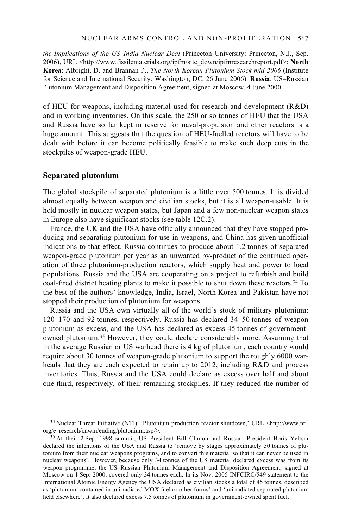#### NUCLEAR ARMS CONTROL AND NON-PROLIFERATION 567

*the Implications of the US–India Nuclear Deal* (Princeton University: Princeton, N.J., Sep. 2006), URL <http://www.fissilematerials.org/ipfm/site\_down/ipfmresearchreport.pdf>; **North Korea**: Albright, D. and Brannan P., *The North Korean Plutonium Stock mid-2006* (Institute for Science and International Security: Washington, DC, 26 June 2006). **Russia**: US–Russian Plutonium Management and Disposition Agreement, signed at Moscow, 4 June 2000.

of HEU for weapons, including material used for research and development (R&D) and in working inventories. On this scale, the 250 or so tonnes of HEU that the USA and Russia have so far kept in reserve for naval-propulsion and other reactors is a huge amount. This suggests that the question of HEU-fuelled reactors will have to be dealt with before it can become politically feasible to make such deep cuts in the stockpiles of weapon-grade HEU.

#### **Separated plutonium**

The global stockpile of separated plutonium is a little over 500 tonnes. It is divided almost equally between weapon and civilian stocks, but it is all weapon-usable. It is held mostly in nuclear weapon states, but Japan and a few non-nuclear weapon states in Europe also have significant stocks (see table 12C.2).

France, the UK and the USA have officially announced that they have stopped producing and separating plutonium for use in weapons, and China has given unofficial indications to that effect. Russia continues to produce about 1.2 tonnes of separated weapon-grade plutonium per year as an unwanted by-product of the continued operation of three plutonium-production reactors, which supply heat and power to local populations. Russia and the USA are cooperating on a project to refurbish and build coal-fired district heating plants to make it possible to shut down these reactors.34 To the best of the authors' knowledge, India, Israel, North Korea and Pakistan have not stopped their production of plutonium for weapons.

Russia and the USA own virtually all of the world's stock of military plutonium: 120–170 and 92 tonnes, respectively. Russia has declared 34–50 tonnes of weapon plutonium as excess, and the USA has declared as excess 45 tonnes of governmentowned plutonium.35 However, they could declare considerably more. Assuming that in the average Russian or US warhead there is 4 kg of plutonium, each country would require about 30 tonnes of weapon-grade plutonium to support the roughly 6000 warheads that they are each expected to retain up to 2012, including R&D and process inventories. Thus, Russia and the USA could declare as excess over half and about one-third, respectively, of their remaining stockpiles. If they reduced the number of

<sup>&</sup>lt;sup>34</sup> Nuclear Threat Initiative (NTI), 'Plutonium production reactor shutdown,' URL <http://www.nti. org/e research/cnwm/ending/plutonium.asp/>.

<sup>&</sup>lt;sup>35</sup> At their 2 Sep. 1998 summit, US President Bill Clinton and Russian President Boris Yeltsin declared the intentions of the USA and Russia to 'remove by stages approximately 50 tonnes of plutonium from their nuclear weapons programs, and to convert this material so that it can never be used in nuclear weapons'. However, because only 34 tonnes of the US material declared excess was from its weapon programme, the US–Russian Plutonium Management and Disposition Agreement, signed at Moscow on 1 Sep. 2000, covered only 34 tonnes each. In its Nov. 2005 INFCIRC/549 statement to the International Atomic Energy Agency the USA declared as civilian stocks a total of 45 tonnes, described as 'plutonium contained in unirradiated MOX fuel or other forms' and 'unirradiated separated plutonium held elsewhere'. It also declared excess 7.5 tonnes of plutonium in government-owned spent fuel.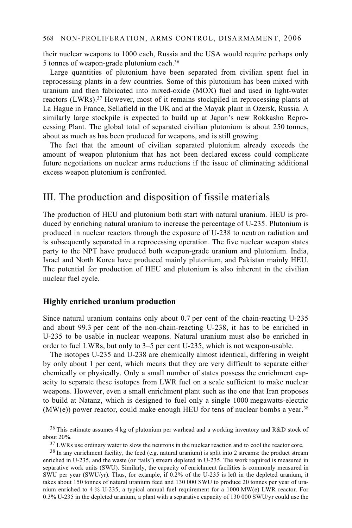their nuclear weapons to 1000 each, Russia and the USA would require perhaps only 5 tonnes of weapon-grade plutonium each.36

Large quantities of plutonium have been separated from civilian spent fuel in reprocessing plants in a few countries. Some of this plutonium has been mixed with uranium and then fabricated into mixed-oxide (MOX) fuel and used in light-water reactors (LWRs).37 However, most of it remains stockpiled in reprocessing plants at La Hague in France, Sellafield in the UK and at the Mayak plant in Ozersk, Russia. A similarly large stockpile is expected to build up at Japan's new Rokkasho Reprocessing Plant. The global total of separated civilian plutonium is about 250 tonnes, about as much as has been produced for weapons, and is still growing.

The fact that the amount of civilian separated plutonium already exceeds the amount of weapon plutonium that has not been declared excess could complicate future negotiations on nuclear arms reductions if the issue of eliminating additional excess weapon plutonium is confronted.

## III. The production and disposition of fissile materials

The production of HEU and plutonium both start with natural uranium. HEU is produced by enriching natural uranium to increase the percentage of U-235. Plutonium is produced in nuclear reactors through the exposure of U-238 to neutron radiation and is subsequently separated in a reprocessing operation. The five nuclear weapon states party to the NPT have produced both weapon-grade uranium and plutonium. India, Israel and North Korea have produced mainly plutonium, and Pakistan mainly HEU. The potential for production of HEU and plutonium is also inherent in the civilian nuclear fuel cycle.

#### **Highly enriched uranium production**

Since natural uranium contains only about 0.7 per cent of the chain-reacting U-235 and about 99.3 per cent of the non-chain-reacting U-238, it has to be enriched in U-235 to be usable in nuclear weapons. Natural uranium must also be enriched in order to fuel LWRs, but only to 3–5 per cent U-235, which is not weapon-usable.

The isotopes U-235 and U-238 are chemically almost identical, differing in weight by only about 1 per cent, which means that they are very difficult to separate either chemically or physically. Only a small number of states possess the enrichment capacity to separate these isotopes from LWR fuel on a scale sufficient to make nuclear weapons. However, even a small enrichment plant such as the one that Iran proposes to build at Natanz, which is designed to fuel only a single 1000 megawatts-electric (MW(e)) power reactor, could make enough HEU for tens of nuclear bombs a year.<sup>38</sup>

<sup>&</sup>lt;sup>36</sup> This estimate assumes 4 kg of plutonium per warhead and a working inventory and R&D stock of about 20%.

 $37$  LWRs use ordinary water to slow the neutrons in the nuclear reaction and to cool the reactor core.

<sup>&</sup>lt;sup>38</sup> In any enrichment facility, the feed (e.g. natural uranium) is split into 2 streams: the product stream enriched in U-235, and the waste (or 'tails') stream depleted in U-235. The work required is measured in separative work units (SWU). Similarly, the capacity of enrichment facilities is commonly measured in SWU per year (SWU/yr). Thus, for example, if 0.2% of the U-235 is left in the depleted uranium, it takes about 150 tonnes of natural uranium feed and 130 000 SWU to produce 20 tonnes per year of uranium enriched to 4 % U-235, a typical annual fuel requirement for a 1000 MW(e) LWR reactor. For 0.3% U-235 in the depleted uranium, a plant with a separative capacity of 130 000 SWU/yr could use the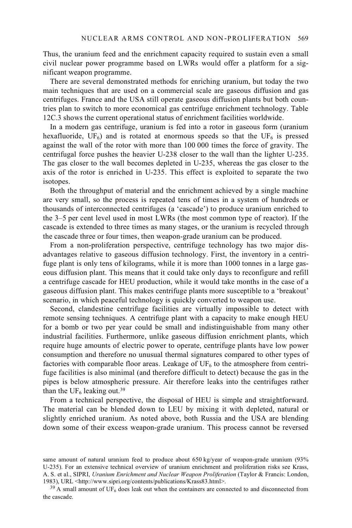Thus, the uranium feed and the enrichment capacity required to sustain even a small civil nuclear power programme based on LWRs would offer a platform for a significant weapon programme.

There are several demonstrated methods for enriching uranium, but today the two main techniques that are used on a commercial scale are gaseous diffusion and gas centrifuges. France and the USA still operate gaseous diffusion plants but both countries plan to switch to more economical gas centrifuge enrichment technology. Table 12C.3 shows the current operational status of enrichment facilities worldwide.

In a modern gas centrifuge, uranium is fed into a rotor in gaseous form (uranium hexafluoride, UF<sub>6</sub>) and is rotated at enormous speeds so that the UF<sub>6</sub> is pressed against the wall of the rotor with more than 100 000 times the force of gravity. The centrifugal force pushes the heavier U-238 closer to the wall than the lighter U-235. The gas closer to the wall becomes depleted in U-235, whereas the gas closer to the axis of the rotor is enriched in U-235. This effect is exploited to separate the two isotopes.

Both the throughput of material and the enrichment achieved by a single machine are very small, so the process is repeated tens of times in a system of hundreds or thousands of interconnected centrifuges (a 'cascade') to produce uranium enriched to the 3–5 per cent level used in most LWRs (the most common type of reactor). If the cascade is extended to three times as many stages, or the uranium is recycled through the cascade three or four times, then weapon-grade uranium can be produced.

From a non-proliferation perspective, centrifuge technology has two major disadvantages relative to gaseous diffusion technology. First, the inventory in a centrifuge plant is only tens of kilograms, while it is more than 1000 tonnes in a large gaseous diffusion plant. This means that it could take only days to reconfigure and refill a centrifuge cascade for HEU production, while it would take months in the case of a gaseous diffusion plant. This makes centrifuge plants more susceptible to a 'breakout' scenario, in which peaceful technology is quickly converted to weapon use.

Second, clandestine centrifuge facilities are virtually impossible to detect with remote sensing techniques. A centrifuge plant with a capacity to make enough HEU for a bomb or two per year could be small and indistinguishable from many other industrial facilities. Furthermore, unlike gaseous diffusion enrichment plants, which require huge amounts of electric power to operate, centrifuge plants have low power consumption and therefore no unusual thermal signatures compared to other types of factories with comparable floor areas. Leakage of  $UF<sub>6</sub>$  to the atmosphere from centrifuge facilities is also minimal (and therefore difficult to detect) because the gas in the pipes is below atmospheric pressure. Air therefore leaks into the centrifuges rather than the UF<sub>6</sub> leaking out.<sup>39</sup>

From a technical perspective, the disposal of HEU is simple and straightforward. The material can be blended down to LEU by mixing it with depleted, natural or slightly enriched uranium. As noted above, both Russia and the USA are blending down some of their excess weapon-grade uranium. This process cannot be reversed

same amount of natural uranium feed to produce about 650 kg/year of weapon-grade uranium (93%) U-235). For an extensive technical overview of uranium enrichment and proliferation risks see Krass, A. S. et al., SIPRI, *Uranium Enrichment and Nuclear Weapon Proliferation* (Taylor & Francis: London,

 $39$  A small amount of UF<sub>6</sub> does leak out when the containers are connected to and disconnected from the cascade.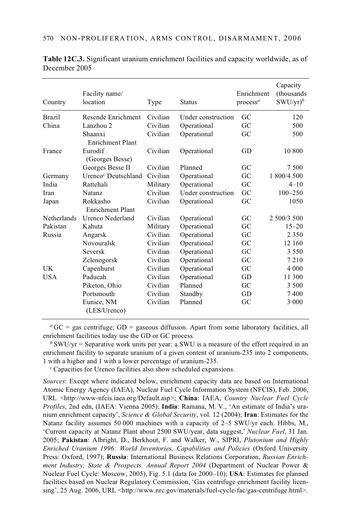| Country       | Facility name/<br>location      | Type     | <b>Status</b>      | Enrichment<br>process <sup>a</sup> | Capacity<br>(thousands)<br>$SWU/yr)^b$ |
|---------------|---------------------------------|----------|--------------------|------------------------------------|----------------------------------------|
| <b>Brazil</b> | Resende Enrichment              | Civilian | Under construction | GC                                 | 120                                    |
| China         | Lanzhou 2                       | Civilian | Operational        | GC                                 | 500                                    |
|               | Shaanxi<br>Enrichment Plant     | Civilian | Operational        | GC                                 | 500                                    |
| France        | Eurodif<br>(Georges Besse)      | Civilian | Operational        | GD                                 | 10 800                                 |
|               | Georges Besse II                | Civilian | Planned            | GC                                 | 7 500                                  |
| Germany       | Urenco <sup>c</sup> Deutschland | Civilian | Operational        | GC                                 | 1 800/4 500                            |
| India         | Rattehali                       | Military | Operational        | GC                                 | $4 - 10$                               |
| Iran          | <b>Natanz</b>                   | Civilian | Under construction | GC                                 | $100 - 250$                            |
| Japan         | Rokkasho                        | Civilian | Operational        | GC                                 | 1050                                   |
|               | <b>Enrichment Plant</b>         |          |                    |                                    |                                        |
| Netherlands   | Urenco Nederland                | Civilian | Operational        | GC                                 | 2 500/3 500                            |
| Pakistan      | Kahuta                          | Military | Operational        | GC                                 | $15 - 20$                              |
| Russia        | Angarsk                         | Civilian | Operational        | GC                                 | 2 3 5 0                                |
|               | Novouralsk                      | Civilian | Operational        | GC                                 | 12 160                                 |
|               | <b>Seversk</b>                  | Civilian | Operational        | GC                                 | 3 5 5 0                                |
|               | Zelenogorsk                     | Civilian | Operational        | GC                                 | 7210                                   |
| UK            | Capenhurst                      | Civilian | Operational        | GC                                 | 4 0 0 0                                |
| <b>USA</b>    | Paducah                         | Civilian | Operational        | GD                                 | 11 300                                 |
|               | Piketon, Ohio                   | Civilian | Planned            | GC                                 | 3 500                                  |
|               | Portsmouth                      | Civilian | Standby            | GD                                 | 7400                                   |
|               | Eunice, NM<br>(LES/Urenco)      | Civilian | Planned            | GC                                 | 3 0 0 0                                |

**Table 12C.3.** Significant uranium enrichment facilities and capacity worldwide, as of December 2005

 ${}^{\alpha}$  GC = gas centrifuge; GD = gaseous diffusion. Apart from some laboratory facilities, all enrichment facilities today use the GD or GC process.

 $b$  SWU/yr = Separative work units per year: a SWU is a measure of the effort required in an enrichment facility to separate uranium of a given content of uranium-235 into 2 components, 1 with a higher and 1 with a lower percentage of uranium-235.

*<sup>c</sup>* Capacities for Urenco facilities also show scheduled expansions.

*Sources*: Except where indicated below, enrichment capacity data are based on International Atomic Energy Agency (IAEA), Nuclear Fuel Cycle Information System (NFCIS), Feb. 2006, URL <http://www-nfcis.iaea.org/Default.asp>; **China**: IAEA, *Country Nuclear Fuel Cycle Profiles*, 2nd edn, (IAEA: Vienna 2005); **India**: Ramana, M. V., 'An estimate of India's uranium enrichment capacity', *Science & Global Security*, vol. 12 (2004); **Iran**: Estimates for the Natanz facility assumes 50 000 machines with a capacity of 2–5 SWU/yr each. Hibbs, M., 'Current capacity at Natanz Plant about 2500 SWU/year, data suggest,' *Nuclear Fuel*, 31 Jan. 2005; **Pakistan**: Albright, D., Berkhout, F. and Walker, W., SIPRI, *Plutonium and Highly Enriched Uranium 1996: World Inventories, Capabilities and Policies* (Oxford University Press: Oxford, 1997); **Russia**: International Business Relations Corporation, *Russian Enrichment Industry, State & Prospects. Annual Report 2004* (Department of Nuclear Power & Nuclear Fuel Cycle: Moscow, 2005), Fig. 5.1 (data for 2000–10); **USA**: Estimates for planned facilities based on Nuclear Regulatory Commission, 'Gas centrifuge enrichment facility licensing', 25 Aug. 2006, URL <http://www.nrc.gov/materials/fuel-cycle-fac/gas-centrifuge.html>.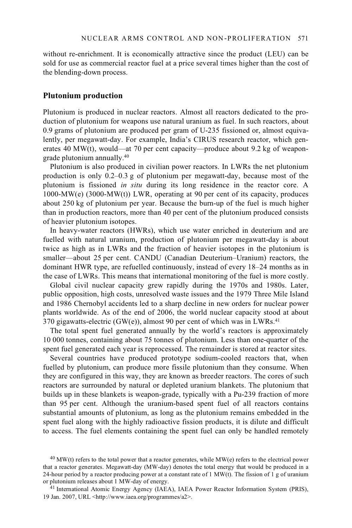without re-enrichment. It is economically attractive since the product (LEU) can be sold for use as commercial reactor fuel at a price several times higher than the cost of the blending-down process.

### **Plutonium production**

Plutonium is produced in nuclear reactors. Almost all reactors dedicated to the production of plutonium for weapons use natural uranium as fuel. In such reactors, about 0.9 grams of plutonium are produced per gram of U-235 fissioned or, almost equivalently, per megawatt-day. For example, India's CIRUS research reactor, which generates 40 MW(t), would—at 70 per cent capacity—produce about 9.2 kg of weapongrade plutonium annually.40

Plutonium is also produced in civilian power reactors. In LWRs the net plutonium production is only 0.2–0.3 g of plutonium per megawatt-day, because most of the plutonium is fissioned *in situ* during its long residence in the reactor core. A 1000-MW(e) (3000-MW(t)) LWR, operating at 90 per cent of its capacity, produces about 250 kg of plutonium per year. Because the burn-up of the fuel is much higher than in production reactors, more than 40 per cent of the plutonium produced consists of heavier plutonium isotopes.

In heavy-water reactors (HWRs), which use water enriched in deuterium and are fuelled with natural uranium, production of plutonium per megawatt-day is about twice as high as in LWRs and the fraction of heavier isotopes in the plutonium is smaller—about 25 per cent. CANDU (Canadian Deuterium–Uranium) reactors, the dominant HWR type, are refuelled continuously, instead of every 18–24 months as in the case of LWRs. This means that international monitoring of the fuel is more costly.

Global civil nuclear capacity grew rapidly during the 1970s and 1980s. Later, public opposition, high costs, unresolved waste issues and the 1979 Three Mile Island and 1986 Chernobyl accidents led to a sharp decline in new orders for nuclear power plants worldwide. As of the end of 2006, the world nuclear capacity stood at about 370 gigawatts-electric  $(GW(e))$ , almost 90 per cent of which was in LWRs.<sup>41</sup>

The total spent fuel generated annually by the world's reactors is approximately 10 000 tonnes, containing about 75 tonnes of plutonium. Less than one-quarter of the spent fuel generated each year is reprocessed. The remainder is stored at reactor sites.

Several countries have produced prototype sodium-cooled reactors that, when fuelled by plutonium, can produce more fissile plutonium than they consume. When they are configured in this way, they are known as breeder reactors. The cores of such reactors are surrounded by natural or depleted uranium blankets. The plutonium that builds up in these blankets is weapon-grade, typically with a Pu-239 fraction of more than 95 per cent. Although the uranium-based spent fuel of all reactors contains substantial amounts of plutonium, as long as the plutonium remains embedded in the spent fuel along with the highly radioactive fission products, it is dilute and difficult to access. The fuel elements containing the spent fuel can only be handled remotely

 $^{40}$  MW(t) refers to the total power that a reactor generates, while MW(e) refers to the electrical power that a reactor generates. Megawatt-day (MW-day) denotes the total energy that would be produced in a 24-hour period by a reactor producing power at a constant rate of 1 MW(t). The fission of  $1 \text{ g}$  of uranium or plutonium releases about 1 MW-day of energy.

<sup>&</sup>lt;sup>41</sup> International Atomic Energy Agency (IAEA), IAEA Power Reactor Information System (PRIS), 19 Jan. 2007, URL <http://www.iaea.org/programmes/a2>.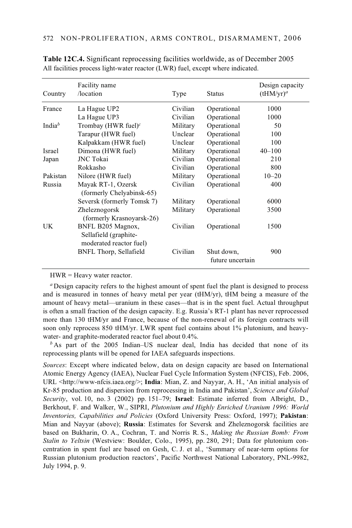| Country            | Facility name<br>/location                                            | Type     | <b>Status</b>                  | Design capacity<br>$(tHM/yr)^a$ |
|--------------------|-----------------------------------------------------------------------|----------|--------------------------------|---------------------------------|
| France             | La Hague UP2                                                          | Civilian | Operational                    | 1000                            |
|                    | La Hague UP3                                                          | Civilian | Operational                    | 1000                            |
| India <sup>b</sup> | Trombay (HWR fuel) <sup>c</sup>                                       | Military | Operational                    | 50                              |
|                    | Tarapur (HWR fuel)                                                    | Unclear  | Operational                    | 100                             |
|                    | Kalpakkam (HWR fuel)                                                  | Unclear  | Operational                    | 100                             |
| <b>Israel</b>      | Dimona (HWR fuel)                                                     | Military | Operational                    | $40 - 100$                      |
| Japan              | <b>JNC</b> Tokai                                                      | Civilian | Operational                    | 210                             |
|                    | Rokkasho                                                              | Civilian | Operational                    | 800                             |
| Pakistan           | Nilore (HWR fuel)                                                     | Military | Operational                    | $10 - 20$                       |
| Russia             | Mayak RT-1, Ozersk<br>(formerly Chelyabinsk-65)                       | Civilian | Operational                    | 400                             |
|                    | Seversk (formerly Tomsk 7)                                            | Military | Operational                    | 6000                            |
|                    | Zheleznogorsk<br>(formerly Krasnoyarsk-26)                            | Military | Operational                    | 3500                            |
| UK                 | BNFL B205 Magnox,<br>Sellafield (graphite-<br>moderated reactor fuel) | Civilian | Operational                    | 1500                            |
|                    | BNFL Thorp, Sellafield                                                | Civilian | Shut down,<br>future uncertain | 900                             |

**Table 12C.4.** Significant reprocessing facilities worldwide, as of December 2005 All facilities process light-water reactor (LWR) fuel, except where indicated.

HWR = Heavy water reactor.

*<sup>a</sup>* Design capacity refers to the highest amount of spent fuel the plant is designed to process and is measured in tonnes of heavy metal per year (tHM/yr), tHM being a measure of the amount of heavy metal—uranium in these cases—that is in the spent fuel. Actual throughput is often a small fraction of the design capacity. E.g. Russia's RT-1 plant has never reprocessed more than 130 tHM/yr and France, because of the non-renewal of its foreign contracts will soon only reprocess 850 tHM/yr. LWR spent fuel contains about 1% plutonium, and heavywater- and graphite-moderated reactor fuel about 0.4%.

*b* As part of the 2005 Indian–US nuclear deal, India has decided that none of its reprocessing plants will be opened for IAEA safeguards inspections.

*Sources*: Except where indicated below, data on design capacity are based on International Atomic Energy Agency (IAEA), Nuclear Fuel Cycle Information System (NFCIS), Feb. 2006, URL <http://www-nfcis.iaea.org/>; **India**: Mian, Z. and Nayyar, A. H., 'An initial analysis of Kr-85 production and dispersion from reprocessing in India and Pakistan', *Science and Global Security*, vol. 10, no. 3 (2002) pp. 151–79; **Israel**: Estimate inferred from Albright, D., Berkhout, F. and Walker, W., SIPRI, *Plutonium and Highly Enriched Uranium 1996: World Inventories, Capabilities and Policies* (Oxford University Press: Oxford, 1997); **Pakistan**: Mian and Nayyar (above); **Russia**: Estimates for Seversk and Zheleznogorsk facilities are based on Bukharin, O. A., Cochran, T. and Norris R. S., *Making the Russian Bomb: From Stalin to Yeltsin* (Westview: Boulder, Colo., 1995), pp. 280, 291; Data for plutonium concentration in spent fuel are based on Gesh, C. J. et al., 'Summary of near-term options for Russian plutonium production reactors', Pacific Northwest National Laboratory, PNL-9982, July 1994, p. 9.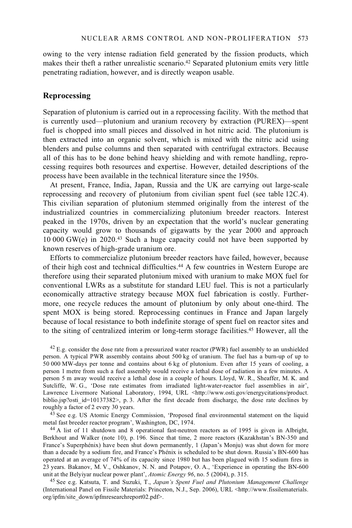owing to the very intense radiation field generated by the fission products, which makes their theft a rather unrealistic scenario.42 Separated plutonium emits very little penetrating radiation, however, and is directly weapon usable.

### **Reprocessing**

Separation of plutonium is carried out in a reprocessing facility. With the method that is currently used—plutonium and uranium recovery by extraction (PUREX)—spent fuel is chopped into small pieces and dissolved in hot nitric acid. The plutonium is then extracted into an organic solvent, which is mixed with the nitric acid using blenders and pulse columns and then separated with centrifugal extractors. Because all of this has to be done behind heavy shielding and with remote handling, reprocessing requires both resources and expertise. However, detailed descriptions of the process have been available in the technical literature since the 1950s.

At present, France, India, Japan, Russia and the UK are carrying out large-scale reprocessing and recovery of plutonium from civilian spent fuel (see table 12C.4). This civilian separation of plutonium stemmed originally from the interest of the industrialized countries in commercializing plutonium breeder reactors. Interest peaked in the 1970s, driven by an expectation that the world's nuclear generating capacity would grow to thousands of gigawatts by the year 2000 and approach 10 000 GW(e) in 2020.43 Such a huge capacity could not have been supported by known reserves of high-grade uranium ore.

Efforts to commercialize plutonium breeder reactors have failed, however, because of their high cost and technical difficulties.44 A few countries in Western Europe are therefore using their separated plutonium mixed with uranium to make MOX fuel for conventional LWRs as a substitute for standard LEU fuel. This is not a particularly economically attractive strategy because MOX fuel fabrication is costly. Furthermore, one recycle reduces the amount of plutonium by only about one-third. The spent MOX is being stored. Reprocessing continues in France and Japan largely because of local resistance to both indefinite storage of spent fuel on reactor sites and to the siting of centralized interim or long-term storage facilities.45 However, all the

<sup>42</sup> E.g. consider the dose rate from a pressurized water reactor (PWR) fuel assembly to an unshielded person. A typical PWR assembly contains about 500 kg of uranium. The fuel has a burn-up of up to 50 000 MW-days per tonne and contains about 6 kg of plutonium. Even after 15 years of cooling, a person 1 metre from such a fuel assembly would receive a lethal dose of radiation in a few minutes. A person 5 m away would receive a lethal dose in a couple of hours. Lloyd, W. R., Sheaffer, M. K. and Sutcliffe, W. G., 'Dose rate estimates from irradiated light-water-reactor fuel assemblies in air', Lawrence Livermore National Laboratory, 1994, URL <http://www.osti.gov/energycitations/product. biblio.jsp?osti\_id=10137382>, p. 3. After the first decade from discharge, the dose rate declines by roughly a factor of 2 every 30 years.

<sup>43</sup> See e.g. US Atomic Energy Commission, 'Proposed final environmental statement on the liquid metal fast breeder reactor program', Washington, DC, 1974.

 $44$  A list of 11 shutdown and 8 operational fast-neutron reactors as of 1995 is given in Albright, Berkhout and Walker (note 10), p. 196. Since that time, 2 more reactors (Kazakhstan's BN-350 and France's Superphénix) have been shut down permanently, 1 (Japan's Monju) was shut down for more than a decade by a sodium fire, and France's Phénix is scheduled to be shut down. Russia's BN-600 has operated at an average of 74% of its capacity since 1980 but has been plagued with 15 sodium fires in 23 years. Bakanov, M. V., Oshkanov, N. N. and Potapov, O. A., 'Experience in operating the BN-600 unit at the Belyiyar nuclear power plant', Atomic Energy 96, no. 5 (2004), p. 315.

<sup>45</sup> See e.g. Katsuta, T. and Suzuki, T., *Japan's Spent Fuel and Plutonium Management Challenge* (International Panel on Fissile Materials: Princeton, N.J., Sep. 2006), URL <http://www.fissilematerials. org/ipfm/site\_down/ipfmresearchreport02.pdf>.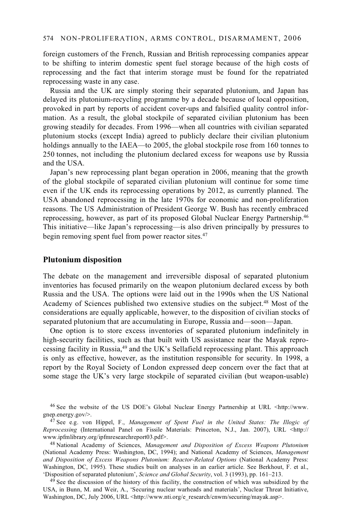foreign customers of the French, Russian and British reprocessing companies appear to be shifting to interim domestic spent fuel storage because of the high costs of reprocessing and the fact that interim storage must be found for the repatriated reprocessing waste in any case.

Russia and the UK are simply storing their separated plutonium, and Japan has delayed its plutonium-recycling programme by a decade because of local opposition, provoked in part by reports of accident cover-ups and falsified quality control information. As a result, the global stockpile of separated civilian plutonium has been growing steadily for decades. From 1996—when all countries with civilian separated plutonium stocks (except India) agreed to publicly declare their civilian plutonium holdings annually to the IAEA—to 2005, the global stockpile rose from 160 tonnes to 250 tonnes, not including the plutonium declared excess for weapons use by Russia and the USA.

Japan's new reprocessing plant began operation in 2006, meaning that the growth of the global stockpile of separated civilian plutonium will continue for some time even if the UK ends its reprocessing operations by 2012, as currently planned. The USA abandoned reprocessing in the late 1970s for economic and non-proliferation reasons. The US Administration of President George W. Bush has recently embraced reprocessing, however, as part of its proposed Global Nuclear Energy Partnership.46 This initiative—like Japan's reprocessing—is also driven principally by pressures to begin removing spent fuel from power reactor sites.<sup>47</sup>

### **Plutonium disposition**

The debate on the management and irreversible disposal of separated plutonium inventories has focused primarily on the weapon plutonium declared excess by both Russia and the USA. The options were laid out in the 1990s when the US National Academy of Sciences published two extensive studies on the subject.48 Most of the considerations are equally applicable, however, to the disposition of civilian stocks of separated plutonium that are accumulating in Europe, Russia and—soon—Japan.

One option is to store excess inventories of separated plutonium indefinitely in high-security facilities, such as that built with US assistance near the Mayak reprocessing facility in Russia,49 and the UK's Sellafield reprocessing plant. This approach is only as effective, however, as the institution responsible for security. In 1998, a report by the Royal Society of London expressed deep concern over the fact that at some stage the UK's very large stockpile of separated civilian (but weapon-usable)

46 See the website of the US DOE's Global Nuclear Energy Partnership at URL <http://www. gnep.energy.gov/>. 47 See e.g. von Hippel, F., *Management of Spent Fuel in the United States: The Illogic of* 

<sup>49</sup> See the discussion of the history of this facility, the construction of which was subsidized by the USA, in Bunn, M. and Weir, A., 'Securing nuclear warheads and materials', Nuclear Threat Initiative, Washington, DC, July 2006, URL <http://www.nti.org/e\_research/cnwm/securing/mayak.asp>.

*Reprocessing* (International Panel on Fissile Materials: Princeton, N.J., Jan. 2007), URL <http:// www.ipfmlibrary.org/ipfinresearchreport03.pdf>.

<sup>&</sup>lt;sup>48</sup> National Academy of Sciences, *Management and Disposition of Excess Weapons Plutonium* (National Academy Press: Washington, DC, 1994); and National Academy of Sciences, *Management and Disposition of Excess Weapons Plutonium: Reactor-Related Options* (National Academy Press: Washington, DC, 1995). These studies built on analyses in an earlier article. See Berkhout, F. et al., 'Disposition of separated plutonium', Science and Global Security, vol. 3 (1993), pp. 161–213.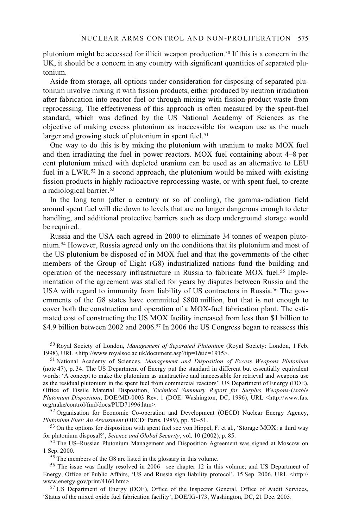plutonium might be accessed for illicit weapon production.50 If this is a concern in the UK, it should be a concern in any country with significant quantities of separated plutonium.

Aside from storage, all options under consideration for disposing of separated plutonium involve mixing it with fission products, either produced by neutron irradiation after fabrication into reactor fuel or through mixing with fission-product waste from reprocessing. The effectiveness of this approach is often measured by the spent-fuel standard, which was defined by the US National Academy of Sciences as the objective of making excess plutonium as inaccessible for weapon use as the much larger and growing stock of plutonium in spent fuel.<sup>51</sup>

One way to do this is by mixing the plutonium with uranium to make MOX fuel and then irradiating the fuel in power reactors. MOX fuel containing about 4–8 per cent plutonium mixed with depleted uranium can be used as an alternative to LEU fuel in a LWR.<sup>52</sup> In a second approach, the plutonium would be mixed with existing fission products in highly radioactive reprocessing waste, or with spent fuel, to create a radiological barrier.53

In the long term (after a century or so of cooling), the gamma-radiation field around spent fuel will die down to levels that are no longer dangerous enough to deter handling, and additional protective barriers such as deep underground storage would be required.

Russia and the USA each agreed in 2000 to eliminate 34 tonnes of weapon plutonium.54 However, Russia agreed only on the conditions that its plutonium and most of the US plutonium be disposed of in MOX fuel and that the governments of the other members of the Group of Eight (G8) industrialized nations fund the building and operation of the necessary infrastructure in Russia to fabricate MOX fuel.<sup>55</sup> Implementation of the agreement was stalled for years by disputes between Russia and the USA with regard to immunity from liability of US contractors in Russia.<sup>56</sup> The governments of the G8 states have committed \$800 million, but that is not enough to cover both the construction and operation of a MOX-fuel fabrication plant. The estimated cost of constructing the US MOX facility increased from less than \$1 billion to \$4.9 billion between 2002 and 2006.<sup>57</sup> In 2006 the US Congress began to reassess this

50 Royal Society of London, *Management of Separated Plutonium* (Royal Society: London, 1 Feb.

<sup>51</sup> National Academy of Sciences. *Management and Disposition of Excess Weapons Plutonium* (note 47), p. 34. The US Department of Energy put the standard in different but essentially equivalent words: 'A concept to make the plutonium as unattractive and inaccessible for retrieval and weapons use as the residual plutonium in the spent fuel from commercial reactors'. US Department of Energy (DOE), Office of Fissile Material Disposition, *Technical Summary Report for Surplus Weapons-Usable Plutonium Disposition*, DOE/MD-0003 Rev. 1 (DOE: Washington, DC, 1996), URL <http://www.fas. org/nuke/control/fmd/docs/PUD71996.htm>.<br><sup>52</sup> Organisation for Economic Co-operation and Development (OECD) Nuclear Energy Agency,

*Plutonium Fuel: An Assessment* (OECD: Paris, 1989), pp. 50–51.<br><sup>53</sup> On the options for disposition with spent fuel see von Hippel, F. et al., 'Storage MOX: a third way for plutonium disposal?', *Science and Global Securit* 

<sup>54</sup> The US–Russian Plutonium Management and Disposition Agreement was signed at Moscow on 1 Sep. 2000.

 $155$  The members of the G8 are listed in the glossary in this volume.

56 The issue was finally resolved in 2006—see chapter 12 in this volume; and US Department of Energy, Office of Public Affairs, 'US and Russia sign liability protocol', 15 Sep. 2006, URL <http://www.energy.gov/print/4160.htm>.

<sup>57</sup> US Department of Energy (DOE), Office of the Inspector General, Office of Audit Services, 'Status of the mixed oxide fuel fabrication facility', DOE/IG-173, Washington, DC, 21 Dec. 2005.